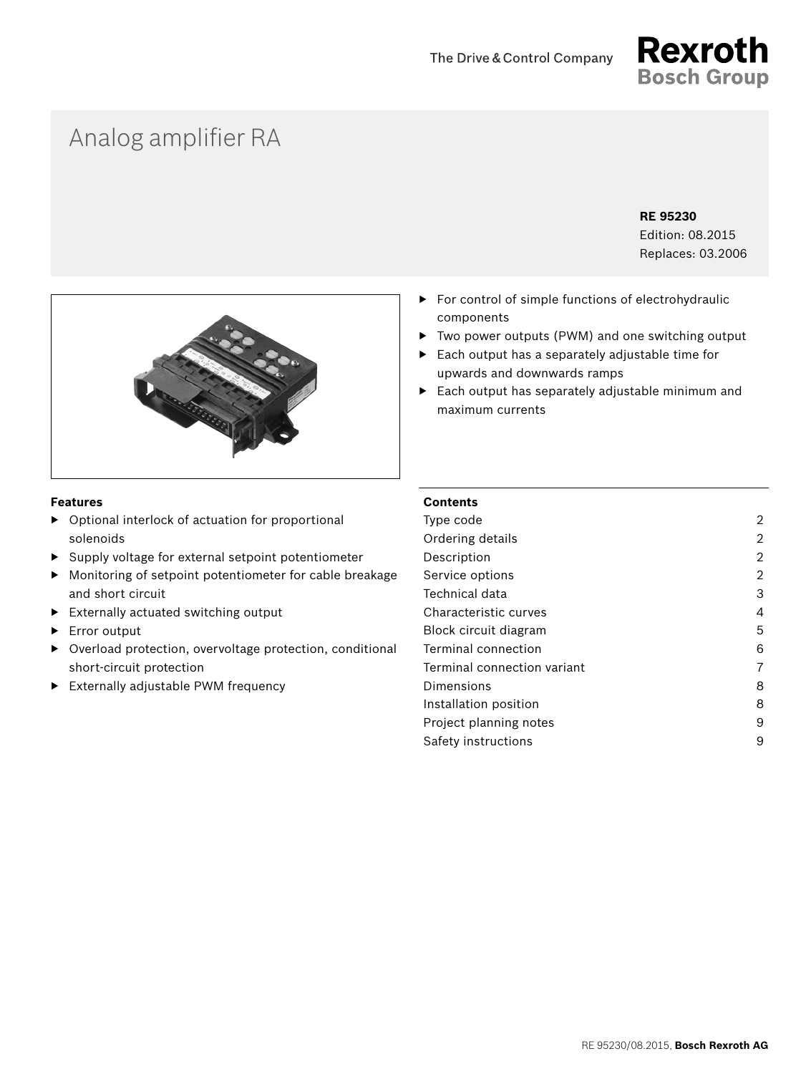

# Analog amplifier RA

#### **RE 95230**

Edition: 08.2015 Replaces: 03.2006



# ▶ Each output has a separately adjustable time for upwards and downwards ramps

▶ For control of simple functions of electrohydraulic

▶ Each output has separately adjustable minimum and maximum currents

▶ Two power outputs (PWM) and one switching output

#### **Features**

- ▶ Optional interlock of actuation for proportional solenoids
- ▶ Supply voltage for external setpoint potentiometer
- ▶ Monitoring of setpoint potentiometer for cable breakage and short circuit
- ▶ Externally actuated switching output
- ▶ Error output
- ▶ Overload protection, overvoltage protection, conditional short-circuit protection
- ▶ Externally adjustable PWM frequency

#### **Contents**

components

| Type code                   | 2 |
|-----------------------------|---|
| Ordering details            | 2 |
| Description                 | 2 |
| Service options             | 2 |
| Technical data              | 3 |
| Characteristic curves       | 4 |
| Block circuit diagram       | 5 |
| Terminal connection         | 6 |
| Terminal connection variant | 7 |
| Dimensions                  | 8 |
| Installation position       | 8 |
| Project planning notes      | 9 |
| Safety instructions         | 9 |
|                             |   |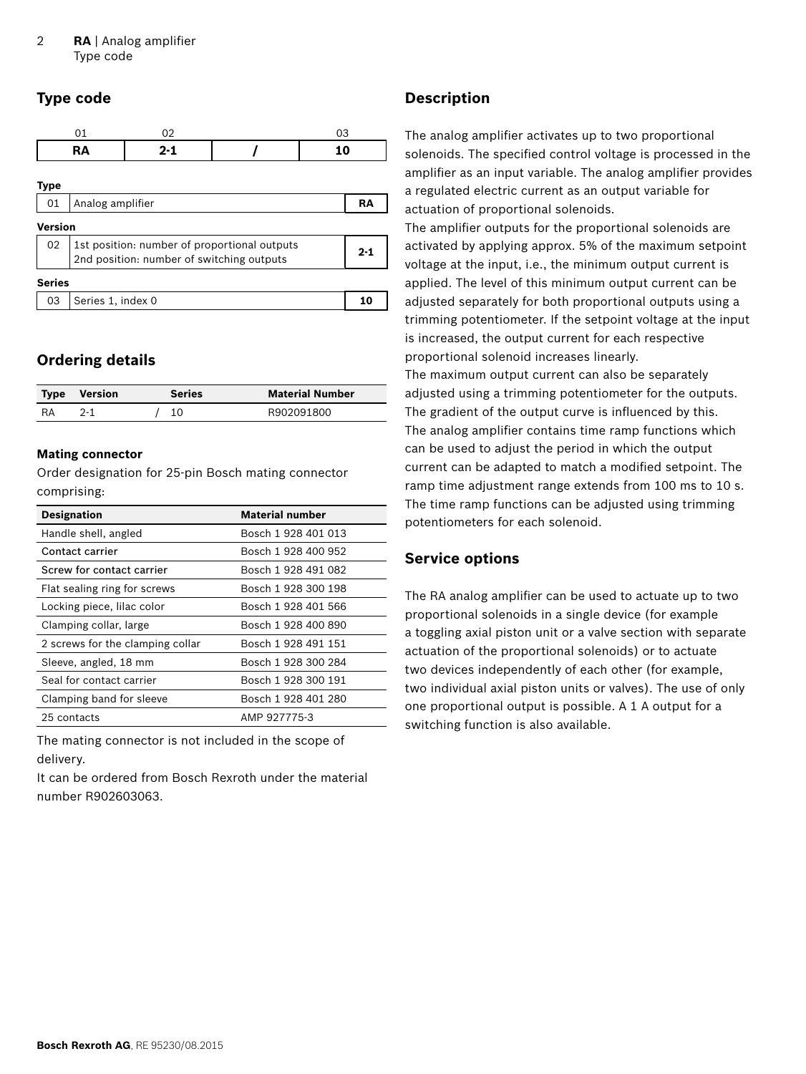# <span id="page-1-0"></span>**Type code**

|                | 01                | 02                                        |                                              | 03      |
|----------------|-------------------|-------------------------------------------|----------------------------------------------|---------|
|                | RA                | $2 - 1$                                   |                                              | 10      |
| <b>Type</b>    |                   |                                           |                                              |         |
| 01             | Analog amplifier  |                                           |                                              | RA      |
| <b>Version</b> |                   |                                           |                                              |         |
| 02             |                   | 2nd position: number of switching outputs | 1st position: number of proportional outputs | $2 - 1$ |
| <b>Series</b>  |                   |                                           |                                              |         |
| 03             | Series 1, index 0 |                                           |                                              | 10      |
|                |                   |                                           |                                              |         |

# **Ordering details**

| <b>Type Version</b> | Series | <b>Material Number</b> |
|---------------------|--------|------------------------|
|                     | 10     | R902091800             |

#### **Mating connector**

Order designation for 25-pin Bosch mating connector comprising:

| <b>Designation</b>               | <b>Material number</b> |
|----------------------------------|------------------------|
| Handle shell, angled             | Bosch 1 928 401 013    |
| Contact carrier                  | Bosch 1 928 400 952    |
| Screw for contact carrier        | Bosch 1 928 491 082    |
| Flat sealing ring for screws     | Bosch 1 928 300 198    |
| Locking piece, lilac color       | Bosch 1 928 401 566    |
| Clamping collar, large           | Bosch 1 928 400 890    |
| 2 screws for the clamping collar | Bosch 1 928 491 151    |
| Sleeve, angled, 18 mm            | Bosch 1 928 300 284    |
| Seal for contact carrier         | Bosch 1 928 300 191    |
| Clamping band for sleeve         | Bosch 1 928 401 280    |
| 25 contacts                      | AMP 927775-3           |

The mating connector is not included in the scope of delivery.

It can be ordered from Bosch Rexroth under the material number R902603063.

# **Description**

The analog amplifier activates up to two proportional solenoids. The specified control voltage is processed in the amplifier as an input variable. The analog amplifier provides a regulated electric current as an output variable for actuation of proportional solenoids.

The amplifier outputs for the proportional solenoids are activated by applying approx. 5% of the maximum setpoint voltage at the input, i.e., the minimum output current is applied. The level of this minimum output current can be adjusted separately for both proportional outputs using a trimming potentiometer. If the setpoint voltage at the input is increased, the output current for each respective proportional solenoid increases linearly.

The maximum output current can also be separately adjusted using a trimming potentiometer for the outputs. The gradient of the output curve is influenced by this. The analog amplifier contains time ramp functions which can be used to adjust the period in which the output current can be adapted to match a modified setpoint. The ramp time adjustment range extends from 100 ms to 10 s. The time ramp functions can be adjusted using trimming potentiometers for each solenoid.

# **Service options**

The RA analog amplifier can be used to actuate up to two proportional solenoids in a single device (for example a toggling axial piston unit or a valve section with separate actuation of the proportional solenoids) or to actuate two devices independently of each other (for example, two individual axial piston units or valves). The use of only one proportional output is possible. A 1 A output for a switching function is also available.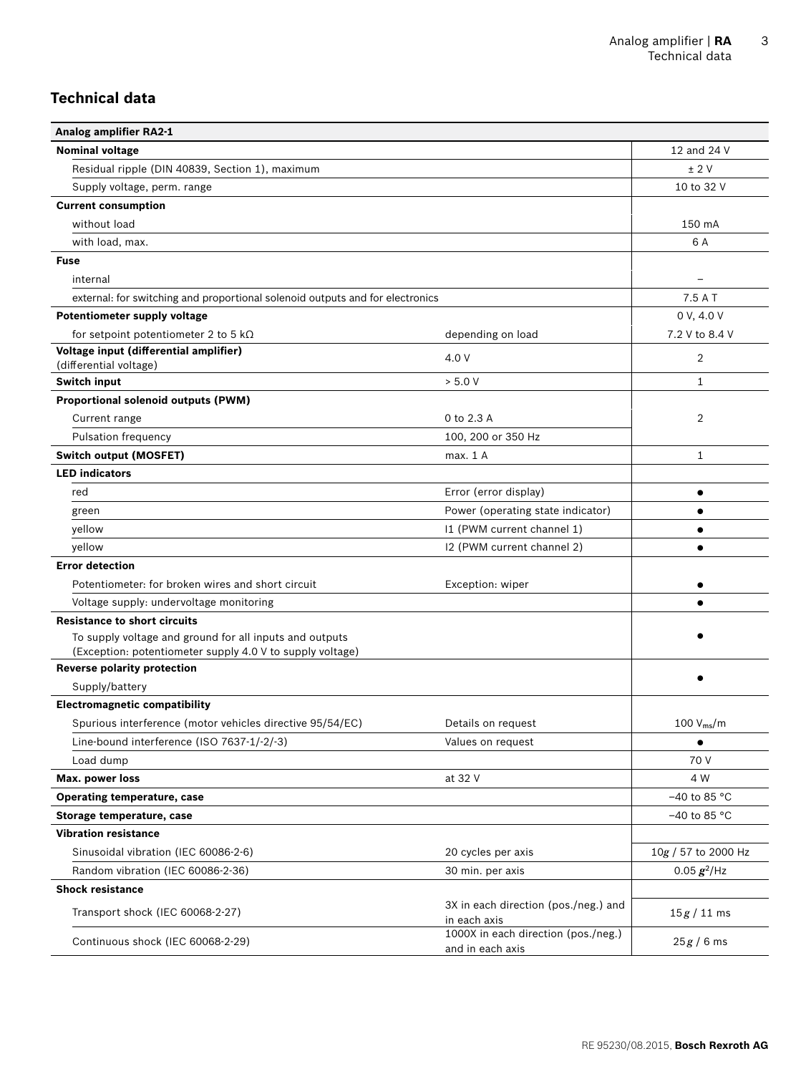# <span id="page-2-0"></span>**Technical data**

| <b>Analog amplifier RA2-1</b>                                                                   |                                                         |                     |
|-------------------------------------------------------------------------------------------------|---------------------------------------------------------|---------------------|
| <b>Nominal voltage</b>                                                                          |                                                         | 12 and 24 V         |
| Residual ripple (DIN 40839, Section 1), maximum                                                 |                                                         | ± 2V                |
| Supply voltage, perm. range                                                                     |                                                         | 10 to 32 V          |
| <b>Current consumption</b>                                                                      |                                                         |                     |
| without load                                                                                    |                                                         | 150 mA              |
| with load, max.                                                                                 |                                                         | 6 A                 |
| <b>Fuse</b>                                                                                     |                                                         |                     |
| internal                                                                                        |                                                         |                     |
| external: for switching and proportional solenoid outputs and for electronics                   |                                                         | 7.5AT               |
| <b>Potentiometer supply voltage</b>                                                             |                                                         | 0 V, 4.0 V          |
| for setpoint potentiometer 2 to 5 k $\Omega$                                                    | depending on load                                       | 7.2 V to 8.4 V      |
| Voltage input (differential amplifier)                                                          | 4.0 V                                                   | 2                   |
| (differential voltage)                                                                          |                                                         |                     |
| <b>Switch input</b>                                                                             | > 5.0 V                                                 | 1                   |
| Proportional solenoid outputs (PWM)                                                             |                                                         |                     |
| Current range                                                                                   | 0 to 2.3 A                                              | 2                   |
| Pulsation frequency                                                                             | 100, 200 or 350 Hz                                      |                     |
| <b>Switch output (MOSFET)</b>                                                                   | max. 1 A                                                | 1                   |
| <b>LED</b> indicators                                                                           |                                                         |                     |
| red                                                                                             | Error (error display)                                   | $\bullet$           |
| green                                                                                           | Power (operating state indicator)                       | $\bullet$           |
| yellow                                                                                          | I1 (PWM current channel 1)                              | $\bullet$           |
| yellow                                                                                          | 12 (PWM current channel 2)                              | $\bullet$           |
| <b>Error detection</b>                                                                          |                                                         |                     |
| Potentiometer: for broken wires and short circuit                                               | Exception: wiper                                        | ٠                   |
| Voltage supply: undervoltage monitoring                                                         |                                                         |                     |
| <b>Resistance to short circuits</b>                                                             |                                                         |                     |
| To supply voltage and ground for all inputs and outputs                                         |                                                         |                     |
| (Exception: potentiometer supply 4.0 V to supply voltage)<br><b>Reverse polarity protection</b> |                                                         |                     |
| Supply/battery                                                                                  |                                                         |                     |
| <b>Electromagnetic compatibility</b>                                                            |                                                         |                     |
| Spurious interference (motor vehicles directive 95/54/EC)                                       | Details on request                                      | 100 $V_{ms}/m$      |
| Line-bound interference (ISO 7637-1/-2/-3)                                                      | Values on request                                       | $\bullet$           |
| Load dump                                                                                       |                                                         | 70 V                |
| Max. power loss                                                                                 | at 32 V                                                 | 4 W                 |
| <b>Operating temperature, case</b>                                                              |                                                         | $-40$ to 85 °C      |
| Storage temperature, case                                                                       |                                                         | $-40$ to 85 °C      |
| <b>Vibration resistance</b>                                                                     |                                                         |                     |
| Sinusoidal vibration (IEC 60086-2-6)                                                            | 20 cycles per axis                                      | 10g / 57 to 2000 Hz |
| Random vibration (IEC 60086-2-36)                                                               | 30 min. per axis                                        | $0.05 g^2$ /Hz      |
| <b>Shock resistance</b>                                                                         |                                                         |                     |
|                                                                                                 | 3X in each direction (pos./neg.) and                    |                     |
| Transport shock (IEC 60068-2-27)                                                                | in each axis                                            | $15g/11$ ms         |
| Continuous shock (IEC 60068-2-29)                                                               | 1000X in each direction (pos./neg.)<br>and in each axis | 25g/6ms             |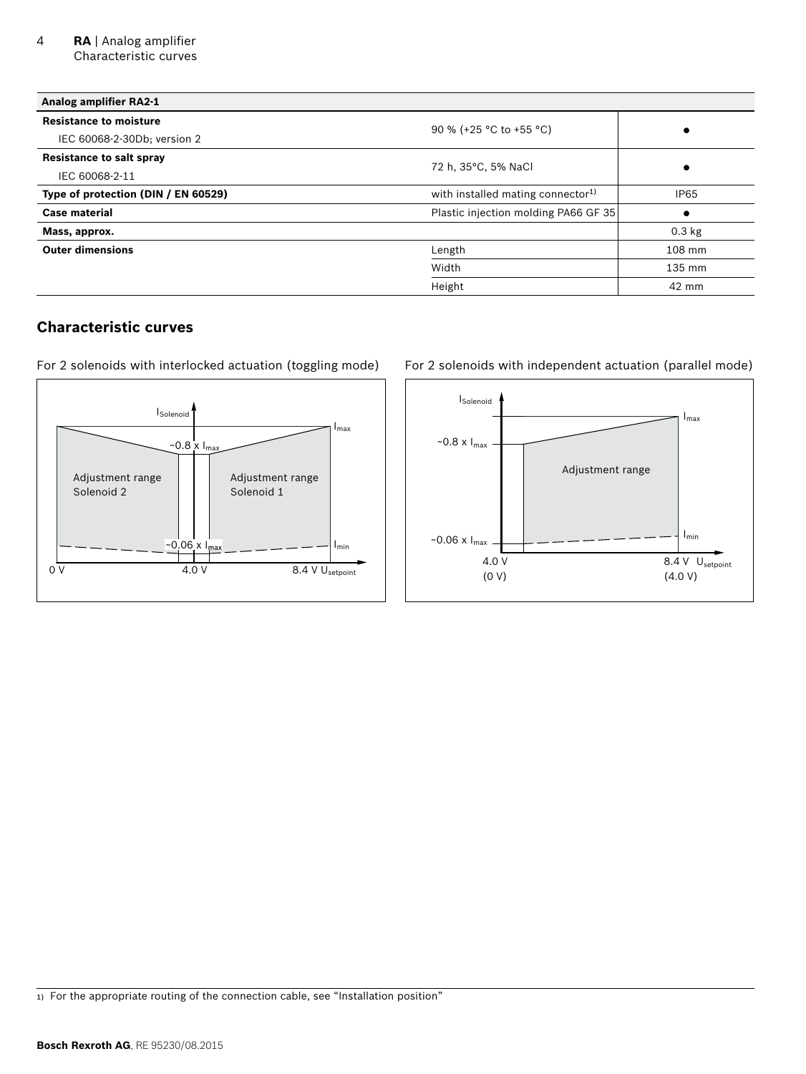<span id="page-3-0"></span>

| Analog amplifier RA2-1              |                                               |             |
|-------------------------------------|-----------------------------------------------|-------------|
| <b>Resistance to moisture</b>       |                                               |             |
| IEC 60068-2-30Db; version 2         | 90 % (+25 °C to +55 °C)                       |             |
| <b>Resistance to salt spray</b>     |                                               |             |
| IEC 60068-2-11                      | 72 h, 35°C, 5% NaCl                           | $\bullet$   |
| Type of protection (DIN / EN 60529) | with installed mating connector <sup>1)</sup> | <b>IP65</b> |
| <b>Case material</b>                | Plastic injection molding PA66 GF 35          | $\bullet$   |
| Mass, approx.                       |                                               | $0.3$ kg    |
| <b>Outer dimensions</b>             | Length                                        | 108 mm      |
|                                     | Width                                         | 135 mm      |
|                                     | Height                                        | 42 mm       |

# **Characteristic curves**

For 2 solenoids with interlocked actuation (toggling mode)



#### For 2 solenoids with independent actuation (parallel mode)



1) For the appropriate routing of the connection cable, see "Installation position"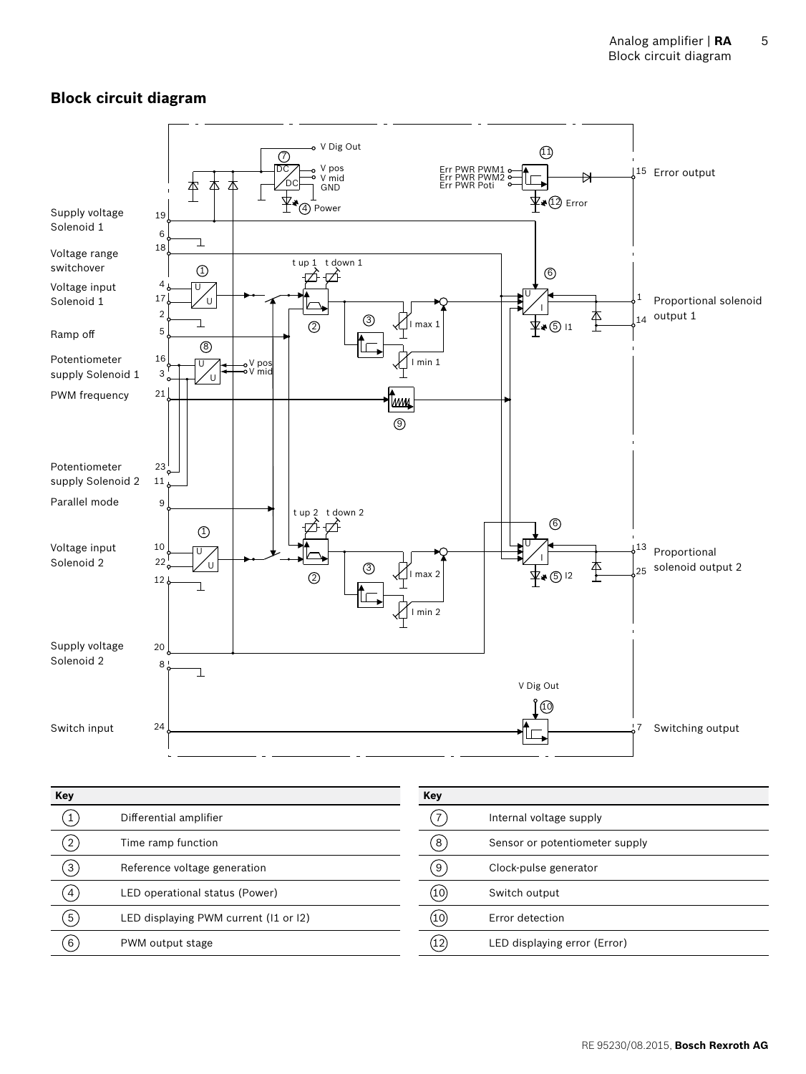# <span id="page-4-0"></span>**Block circuit diagram**



| Key                          |                                       | <b>Key</b> |                                |
|------------------------------|---------------------------------------|------------|--------------------------------|
|                              | Differential amplifier                | 7          | Internal voltage supply        |
| $\left( \frac{2}{2} \right)$ | Time ramp function                    | ຸ8່        | Sensor or potentiometer supply |
| $\left[3\right]$             | Reference voltage generation          | 9          | Clock-pulse generator          |
| $\overline{4}$               | LED operational status (Power)        | (10)       | Switch output                  |
| $\sqrt{5}$                   | LED displaying PWM current (11 or 12) | (10)       | Error detection                |
| 6                            | PWM output stage                      | (12)       | LED displaying error (Error)   |
|                              |                                       |            |                                |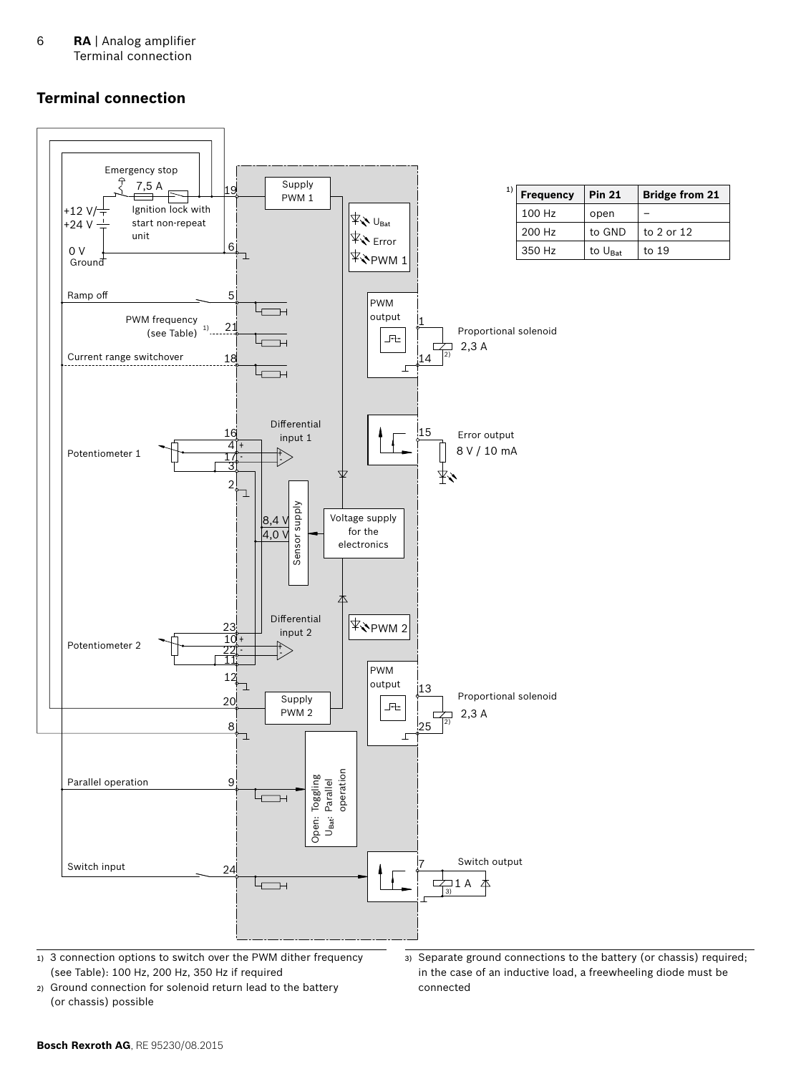<span id="page-5-0"></span>6 **RA** | Analog amplifier Terminal connection

#### **Terminal connection**



1) 3 connection options to switch over the PWM dither frequency (see Table): 100 Hz, 200 Hz, 350 Hz if required

2) Ground connection for solenoid return lead to the battery (or chassis) possible

3) Separate ground connections to the battery (or chassis) required; in the case of an inductive load, a freewheeling diode must be connected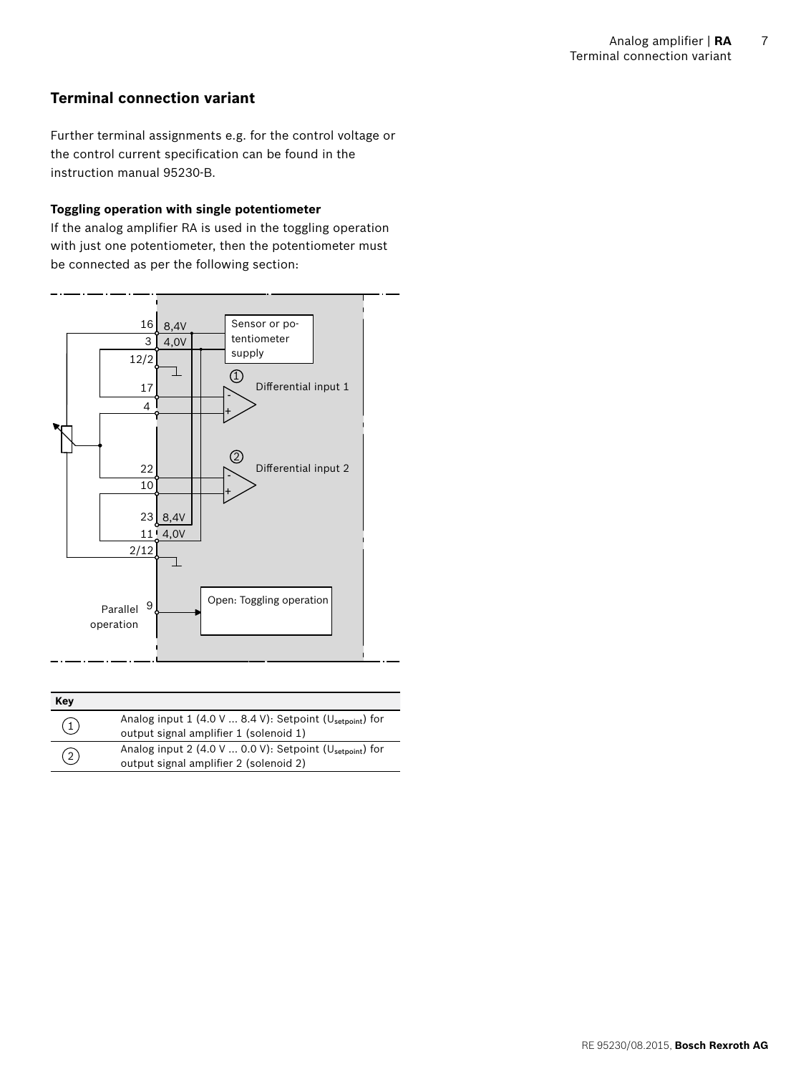# <span id="page-6-0"></span>**Terminal connection variant**

Further terminal assignments e.g. for the control voltage or the control current specification can be found in the instruction manual 95230-B.

#### **Toggling operation with single potentiometer**

If the analog amplifier RA is used in the toggling operation with just one potentiometer, then the potentiometer must be connected as per the following section:



| Key               |                                                                                                                 |
|-------------------|-----------------------------------------------------------------------------------------------------------------|
| $\left( 1\right)$ | Analog input 1 (4.0 V  8.4 V): Setpoint ( $U_{\text{setpoint}}$ ) for<br>output signal amplifier 1 (solenoid 1) |
| (2)               | Analog input 2 (4.0 V  0.0 V): Setpoint ( $U_{\text{setpoint}}$ ) for<br>output signal amplifier 2 (solenoid 2) |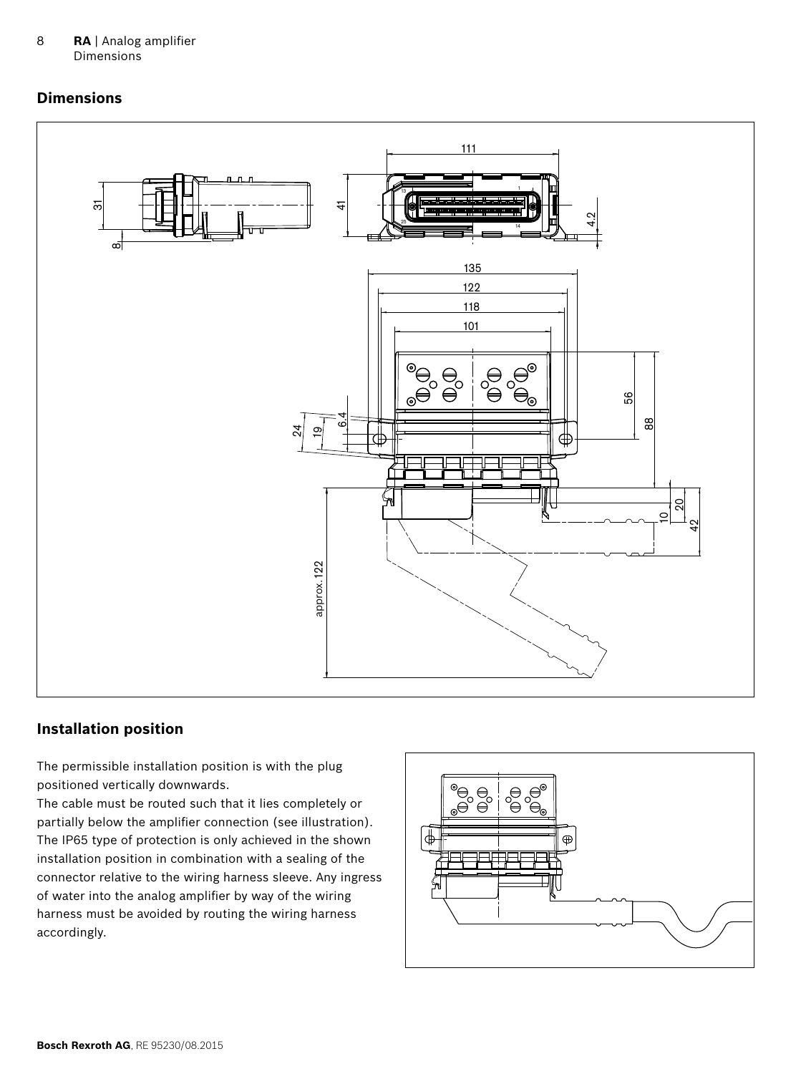<span id="page-7-0"></span>8 **RA** | Analog amplifier **Dimensions** 

### **Dimensions**



#### **Installation position**

The permissible installation position is with the plug positioned vertically downwards.

The cable must be routed such that it lies completely or partially below the amplifier connection (see illustration). The IP65 type of protection is only achieved in the shown installation position in combination with a sealing of the connector relative to the wiring harness sleeve. Any ingress of water into the analog amplifier by way of the wiring harness must be avoided by routing the wiring harness accordingly.

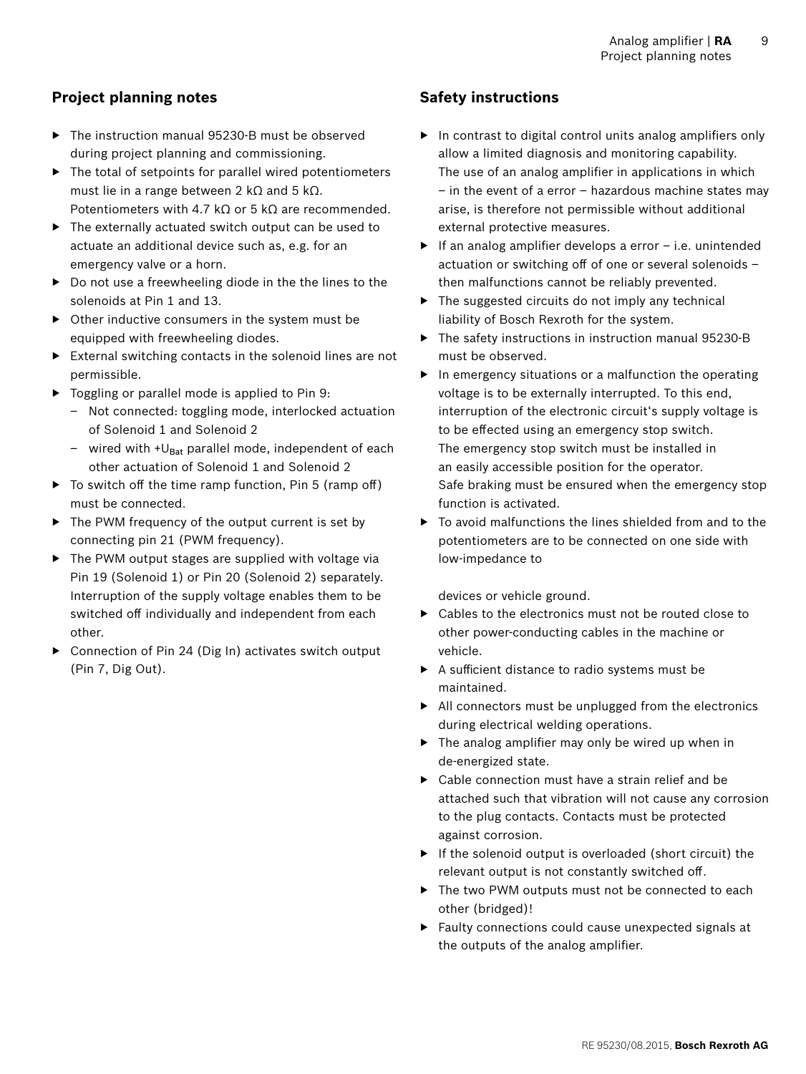# <span id="page-8-0"></span>**Project planning notes**

- ▶ The instruction manual 95230-B must be observed during project planning and commissioning.
- $\blacktriangleright$  The total of setpoints for parallel wired potentiometers must lie in a range between 2 k $\Omega$  and 5 k $\Omega$ . Potentiometers with 4.7 kΩ or 5 kΩ are recommended.
- ▶ The externally actuated switch output can be used to actuate an additional device such as, e.g. for an emergency valve or a horn.
- ▶ Do not use a freewheeling diode in the the lines to the solenoids at Pin 1 and 13.
- ▶ Other inductive consumers in the system must be equipped with freewheeling diodes.
- ▶ External switching contacts in the solenoid lines are not permissible.
- ▶ Toggling or parallel mode is applied to Pin 9:
	- Not connected: toggling mode, interlocked actuation of Solenoid 1 and Solenoid 2
	- wired with  $+U_{\text{Bat}}$  parallel mode, independent of each other actuation of Solenoid 1 and Solenoid 2
- $\triangleright$  To switch off the time ramp function, Pin 5 (ramp off) must be connected.
- ▶ The PWM frequency of the output current is set by connecting pin 21 (PWM frequency).
- $\triangleright$  The PWM output stages are supplied with voltage via Pin 19 (Solenoid 1) or Pin 20 (Solenoid 2) separately. Interruption of the supply voltage enables them to be switched off individually and independent from each other.
- ▶ Connection of Pin 24 (Dig In) activates switch output (Pin 7, Dig Out).

# **Safety instructions**

- ▶ In contrast to digital control units analog amplifiers only allow a limited diagnosis and monitoring capability. The use of an analog amplifier in applications in which – in the event of a error – hazardous machine states may arise, is therefore not permissible without additional external protective measures.
- $\blacktriangleright$  If an analog amplifier develops a error  $-i.e.$  unintended actuation or switching off of one or several solenoids – then malfunctions cannot be reliably prevented.
- $\triangleright$  The suggested circuits do not imply any technical liability of Bosch Rexroth for the system.
- ▶ The safety instructions in instruction manual 95230-B must be observed.
- $\blacktriangleright$  In emergency situations or a malfunction the operating voltage is to be externally interrupted. To this end, interruption of the electronic circuit's supply voltage is to be effected using an emergency stop switch. The emergency stop switch must be installed in an easily accessible position for the operator. Safe braking must be ensured when the emergency stop function is activated.
- $\triangleright$  To avoid malfunctions the lines shielded from and to the potentiometers are to be connected on one side with low-impedance to

devices or vehicle ground.

- ▶ Cables to the electronics must not be routed close to other power-conducting cables in the machine or vehicle.
- ▶ A sufficient distance to radio systems must be maintained.
- ▶ All connectors must be unplugged from the electronics during electrical welding operations.
- $\blacktriangleright$  The analog amplifier may only be wired up when in de-energized state.
- $\triangleright$  Cable connection must have a strain relief and be attached such that vibration will not cause any corrosion to the plug contacts. Contacts must be protected against corrosion.
- ▶ If the solenoid output is overloaded (short circuit) the relevant output is not constantly switched off.
- ▶ The two PWM outputs must not be connected to each other (bridged)!
- ▶ Faulty connections could cause unexpected signals at the outputs of the analog amplifier.